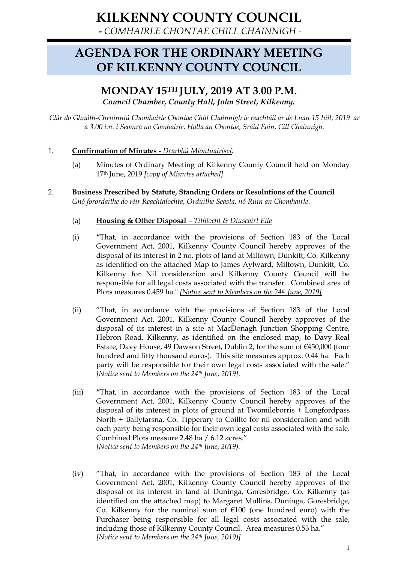**-** *COMHAIRLE CHONTAE CHILL CHAINNIGH -*

# **AGENDA FOR THE ORDINARY MEETING OF KILKENNY COUNTY COUNCIL**

# **MONDAY 15TH JULY, 2019 AT 3.00 P.M.** *Council Chamber, County Hall, John Street, Kilkenny.*

*Clár do Ghnáth-Chruinniú Chomhairle Chontae Chill Chainnigh le reachtáil ar de Luan 15 Iúil, 2019 ar a 3.00 i.n. i Seomra na Comhairle, Halla an Chontae, Sráid Eoin, Cill Chainnigh.*

# 1. **Confirmation of Minutes** - *Dearbhú Miontuairiscí:*

- (a) Minutes of Ordinary Meeting of Kilkenny County Council held on Monday 17th June, 2019 *[copy of Minutes attached].*
- 2. **Business Prescribed by Statute, Standing Orders or Resolutions of the Council** *Gnó forordaithe do réir Reachtaíochta, Orduithe Seasta, nó Rúin an Chomhairle*.
	- (a) **Housing & Other Disposal** *– Tithíocht & Díuscairt Eile*
	- (i) **"**That, in accordance with the provisions of Section 183 of the Local Government Act, 2001, Kilkenny County Council hereby approves of the disposal of its interest in 2 no. plots of land at Miltown, Dunkitt, Co. Kilkenny as identified on the attached Map to James Aylward, Miltown, Dunkitt, Co. Kilkenny for Nil consideration and Kilkenny County Council will be responsible for all legal costs associated with the transfer. Combined area of Plots measures 0.459 ha." *[Notice sent to Members on the 24th June, 2019]*
	- (ii) "That, in accordance with the provisions of Section 183 of the Local Government Act, 2001, Kilkenny County Council hereby approves of the disposal of its interest in a site at MacDonagh Junction Shopping Centre, Hebron Road, Kilkenny, as identified on the enclosed map, to Davy Real Estate, Davy House, 49 Dawson Street, Dublin 2, for the sum of €450,000 (four hundred and fifty thousand euros). This site measures approx. 0.44 ha. Each party will be responsible for their own legal costs associated with the sale." *[Notice sent to Members on the 24th June, 2019].*
	- (iii) **"**That, in accordance with the provisions of Section 183 of the Local Government Act, 2001, Kilkenny County Council hereby approves of the disposal of its interest in plots of ground at Twomileborris + Longfordpass North + Ballytarsna, Co. Tipperary to Coillte for nil consideration and with each party being responsible for their own legal costs associated with the sale. Combined Plots measure 2.48 ha / 6.12 acres." *[Notice sent to Members on the 24th June, 2019).*
	- (iv) "That, in accordance with the provisions of Section 183 of the Local Government Act, 2001, Kilkenny County Council hereby approves of the disposal of its interest in land at Duninga, Goresbridge, Co. Kilkenny (as identified on the attached map) to Margaret Mullins, Duninga, Goresbridge, Co. Kilkenny for the nominal sum of  $E100$  (one hundred euro) with the Purchaser being responsible for all legal costs associated with the sale, including those of Kilkenny County Council. Area measures 0.53 ha." *[Notice sent to Members on the 24th June, 2019)]*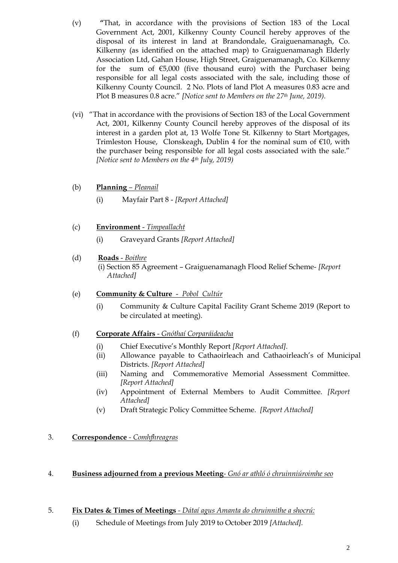- (v) **"**That, in accordance with the provisions of Section 183 of the Local Government Act, 2001, Kilkenny County Council hereby approves of the disposal of its interest in land at Brandondale, Graiguenamanagh, Co. Kilkenny (as identified on the attached map) to Graiguenamanagh Elderly Association Ltd, Gahan House, High Street, Graiguenamanagh, Co. Kilkenny for the sum of  $€5,000$  (five thousand euro) with the Purchaser being responsible for all legal costs associated with the sale, including those of Kilkenny County Council. 2 No. Plots of land Plot A measures 0.83 acre and Plot B measures 0.8 acre." *[Notice sent to Members on the 27th June, 2019).*
- (vi) "That in accordance with the provisions of Section 183 of the Local Government Act, 2001, Kilkenny County Council hereby approves of the disposal of its interest in a garden plot at, 13 Wolfe Tone St. Kilkenny to Start Mortgages, Trimleston House, Clonskeagh, Dublin 4 for the nominal sum of  $E$ 10, with the purchaser being responsible for all legal costs associated with the sale." *[Notice sent to Members on the 4th July, 2019)*
- (b) **Planning** *– Pleanail*
	- (i) Mayfair Part 8 *[Report Attached]*
- (c) **Environment** *Timpeallacht*
	- (i) Graveyard Grants *[Report Attached]*
- (d) **Roads** *Boithre* (i) Section 85 Agreement – Graiguenamanagh Flood Relief Scheme- *[Report Attached]*
- (e) **Community & Culture** *Pobol Cultúr*
	- (i) Community & Culture Capital Facility Grant Scheme 2019 (Report to be circulated at meeting).
- (f) **Corporate Affairs** *Gnóthaí Corparáideacha*
	- (i) Chief Executive's Monthly Report *[Report Attached].*
	- (ii) Allowance payable to Cathaoirleach and Cathaoirleach's of Municipal Districts. *[Report Attached]*
	- (iii) Naming and Commemorative Memorial Assessment Committee. *[Report Attached]*
	- (iv) Appointment of External Members to Audit Committee. *[Report Attached]*
	- (v) Draft Strategic Policy Committee Scheme. *[Report Attached]*

# 3. **Correspondence** *- Comhfhreagras*

- 4. **Business adjourned from a previous Meeting***- Gnó ar athló ó chruinniúroimhe seo*
- 5. **Fix Dates & Times of Meetings** *- Dátaí agus Amanta do chruinnithe a shocrú:* 
	- (i) Schedule of Meetings from July 2019 to October 2019 *[Attached].*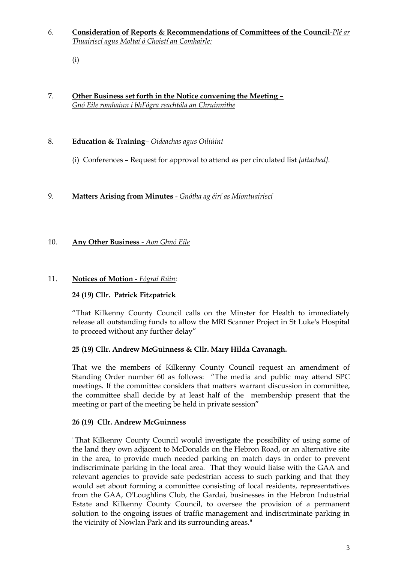- 6. **Consideration of Reports & Recommendations of Committees of the Council***-Plé ar Thuairiscí agus Moltaí ó Choistí an Comhairle:* 
	- (i)

#### 7. **Other Business set forth in the Notice convening the Meeting –** *Gnó Eile romhainn i bhFógra reachtála an Chruinnithe*

#### 8. **Education & Training***– Oideachas agus Oiliúint*

(i) Conferences – Request for approval to attend as per circulated list *[attached].*

#### 9. **Matters Arising from Minutes** - *Gnótha ag éirí as Miontuairiscí*

# 10. **Any Other Business** - *Aon Ghnó Eile*

#### 11. **Notices of Motion** - *Fógraí Rúin:*

# **24 (19) Cllr. Patrick Fitzpatrick**

"That Kilkenny County Council calls on the Minster for Health to immediately release all outstanding funds to allow the MRI Scanner Project in St Luke's Hospital to proceed without any further delay"

#### **25 (19) Cllr. Andrew McGuinness & Cllr. Mary Hilda Cavanagh.**

That we the members of Kilkenny County Council request an amendment of Standing Order number 60 as follows: "The media and public may attend SPC meetings. If the committee considers that matters warrant discussion in committee, the committee shall decide by at least half of the membership present that the meeting or part of the meeting be held in private session"

#### **26 (19) Cllr. Andrew McGuinness**

"That Kilkenny County Council would investigate the possibility of using some of the land they own adjacent to McDonalds on the Hebron Road, or an alternative site in the area, to provide much needed parking on match days in order to prevent indiscriminate parking in the local area. That they would liaise with the GAA and relevant agencies to provide safe pedestrian access to such parking and that they would set about forming a committee consisting of local residents, representatives from the GAA, O'Loughlins Club, the Gardai, businesses in the Hebron Industrial Estate and Kilkenny County Council, to oversee the provision of a permanent solution to the ongoing issues of traffic management and indiscriminate parking in the vicinity of Nowlan Park and its surrounding areas."